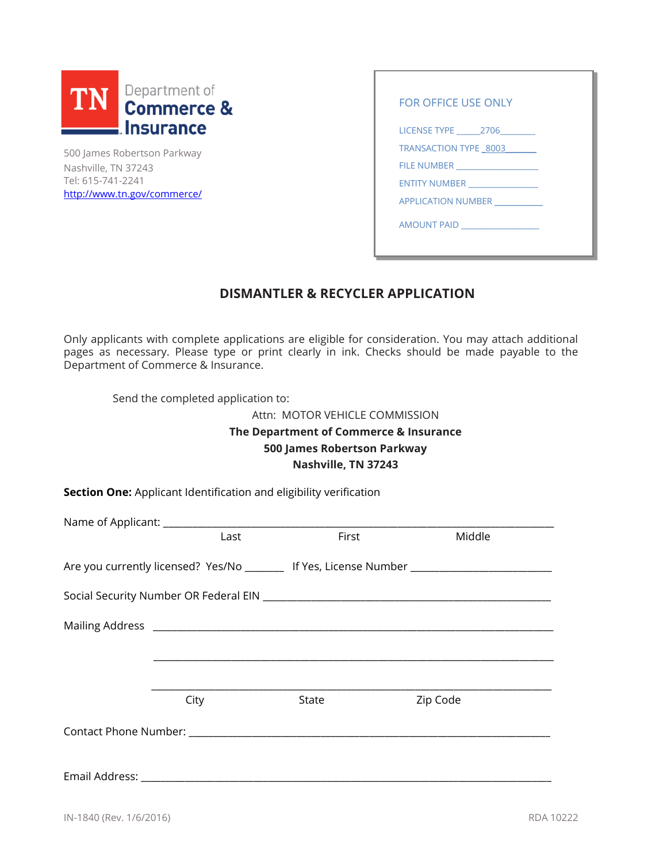| TN | Department of<br><b>Commerce &amp;</b> |
|----|----------------------------------------|
|    | l Insurance                            |

500 James Robertson Parkway Nashville, TN 37243 Tel: 615-741-2241 [http://www.tn.gov/commerce/](http://www.tn.gov/commerce/section/regulatory-boards)

| FOR OFFICE USE ONLY             |  |
|---------------------------------|--|
| LICENSE TYPE 2706               |  |
| TRANSACTION TYPE 8003           |  |
|                                 |  |
| <b>ENTITY NUMBER</b>            |  |
| <b>APPLICATION NUMBER</b>       |  |
| AMOUNT PAID ___________________ |  |
|                                 |  |

# **DISMANTLER & RECYCLER APPLICATION**

Only applicants with complete applications are eligible for consideration. You may attach additional pages as necessary. Please type or print clearly in ink. Checks should be made payable to the Department of Commerce & Insurance.

Send the completed application to:

Attn: MOTOR VEHICLE COMMISSION

**The Department of Commerce & Insurance 500 James Robertson Parkway Nashville, TN 37243**

**Section One:** Applicant Identification and eligibility verification

| Last | First | Middle                                                                                   |
|------|-------|------------------------------------------------------------------------------------------|
|      |       | Are you currently licensed? Yes/No _______ If Yes, License Number ______________________ |
|      |       |                                                                                          |
|      |       |                                                                                          |
|      |       |                                                                                          |
|      |       |                                                                                          |
|      |       |                                                                                          |
| City | State | Zip Code                                                                                 |
|      |       |                                                                                          |
|      |       |                                                                                          |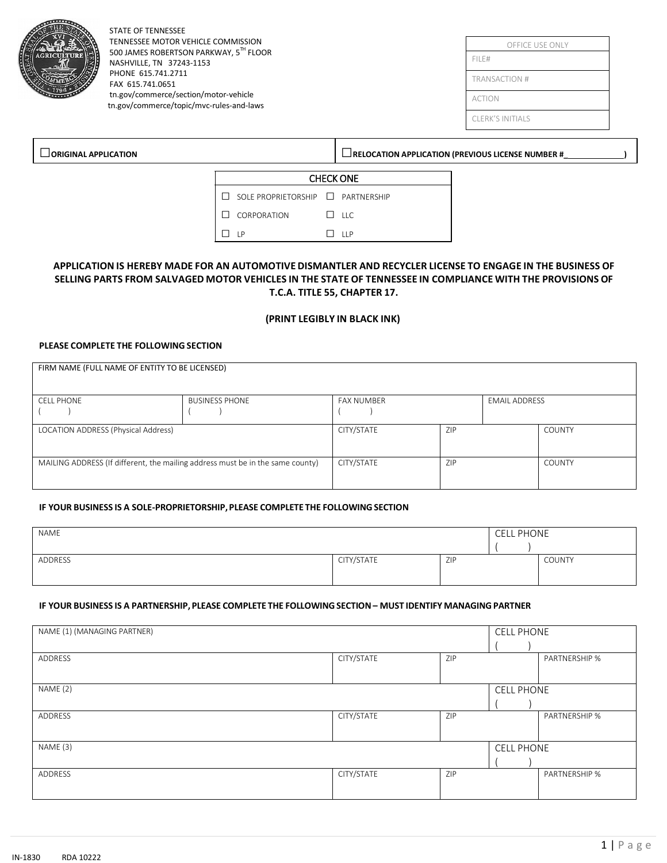|                                  | <b>STATE OF TENNESSEE</b><br>TENNESSEE MOTOR VEHICLE COMMISSION<br>500 JAMES ROBERTSON PARKWAY, 5TH FLOOR<br>NASHVILLE, TN 37243-1153<br>PHONE 615.741.2711<br>FAX 615.741.0651<br>tn.gov/commerce/section/motor-vehicle<br>tn.gov/commerce/topic/mvc-rules-and-laws |                                                        |                  | OFFICE USE ONLY<br>FILE#<br>TRANSACTION #<br><b>ACTION</b><br><b>CLERK'S INITIALS</b> |
|----------------------------------|----------------------------------------------------------------------------------------------------------------------------------------------------------------------------------------------------------------------------------------------------------------------|--------------------------------------------------------|------------------|---------------------------------------------------------------------------------------|
| $\lrcorner$ ORIGINAL APPLICATION |                                                                                                                                                                                                                                                                      |                                                        |                  | $\Box$ RELOCATION APPLICATION (PREVIOUS LICENSE NUMBER #                              |
|                                  |                                                                                                                                                                                                                                                                      |                                                        | <b>CHECK ONE</b> |                                                                                       |
|                                  |                                                                                                                                                                                                                                                                      | SOLE PROPRIETORSHIP <b>No. 7</b> PARTNERSHIP<br>$\Box$ |                  |                                                                                       |
|                                  |                                                                                                                                                                                                                                                                      | CORPORATION<br>$\perp$                                 | $\Box$ LLC       |                                                                                       |
|                                  |                                                                                                                                                                                                                                                                      | $\Box$ LP                                              | $\Box$ LLP       |                                                                                       |
|                                  |                                                                                                                                                                                                                                                                      |                                                        |                  |                                                                                       |

### APPLICATION IS HEREBY MADE FOR AN AUTOMOTIVE DISMANTLER AND RECYCLER LICENSE TO ENGAGE IN THE BUSINESS OF SELLING PARTS FROM SALVAGED MOTOR VEHICLES IN THE STATE OF TENNESSEE IN COMPLIANCE WITH THE PROVISIONS OF **T.C.A. TITLE 55, CHAPTER 17.**

#### **(PRINT LEGIBLY IN BLACK INK)**

#### **PLEASE COMPLETE THE FOLLOWING SECTION**

| FIRM NAME (FULL NAME OF ENTITY TO BE LICENSED)                                 |                       |                   |     |                      |               |
|--------------------------------------------------------------------------------|-----------------------|-------------------|-----|----------------------|---------------|
|                                                                                |                       |                   |     |                      |               |
|                                                                                |                       |                   |     |                      |               |
| <b>CELL PHONE</b>                                                              | <b>BUSINESS PHONE</b> | <b>FAX NUMBER</b> |     | <b>EMAIL ADDRESS</b> |               |
|                                                                                |                       |                   |     |                      |               |
| LOCATION ADDRESS (Physical Address)                                            |                       | CITY/STATE        | ZIP |                      | <b>COUNTY</b> |
|                                                                                |                       |                   |     |                      |               |
|                                                                                |                       |                   |     |                      |               |
| MAILING ADDRESS (If different, the mailing address must be in the same county) |                       | CITY/STATE        | ZIP |                      | <b>COUNTY</b> |
|                                                                                |                       |                   |     |                      |               |
|                                                                                |                       |                   |     |                      |               |

#### **IF YOUR BUSINESS IS A SOLE-PROPRIETORSHIP,PLEASE COMPLETE THE FOLLOWING SECTION**

| NAME    |            |     | <b>CELL PHONE</b> |               |
|---------|------------|-----|-------------------|---------------|
| ADDRESS | CITY/STATE | ZIP |                   | <b>COUNTY</b> |

#### **IF YOUR BUSINESS IS A PARTNERSHIP, PLEASE COMPLETE THE FOLLOWING SECTION– MUST IDENTIFY MANAGING PARTNER**

| NAME (1) (MANAGING PARTNER) |            |     | <b>CELL PHONE</b> |               |  |
|-----------------------------|------------|-----|-------------------|---------------|--|
|                             |            |     |                   |               |  |
| ADDRESS                     | CITY/STATE | ZIP |                   | PARTNERSHIP % |  |
|                             |            |     |                   |               |  |
|                             |            |     |                   |               |  |
| NAME (2)                    |            |     | <b>CELL PHONE</b> |               |  |
|                             |            |     |                   |               |  |
| ADDRESS                     | CITY/STATE | ZIP |                   | PARTNERSHIP % |  |
|                             |            |     |                   |               |  |
|                             |            |     |                   |               |  |
| NAME (3)                    |            |     | <b>CELL PHONE</b> |               |  |
|                             |            |     |                   |               |  |
| ADDRESS                     | CITY/STATE | ZIP |                   | PARTNERSHIP % |  |
|                             |            |     |                   |               |  |
|                             |            |     |                   |               |  |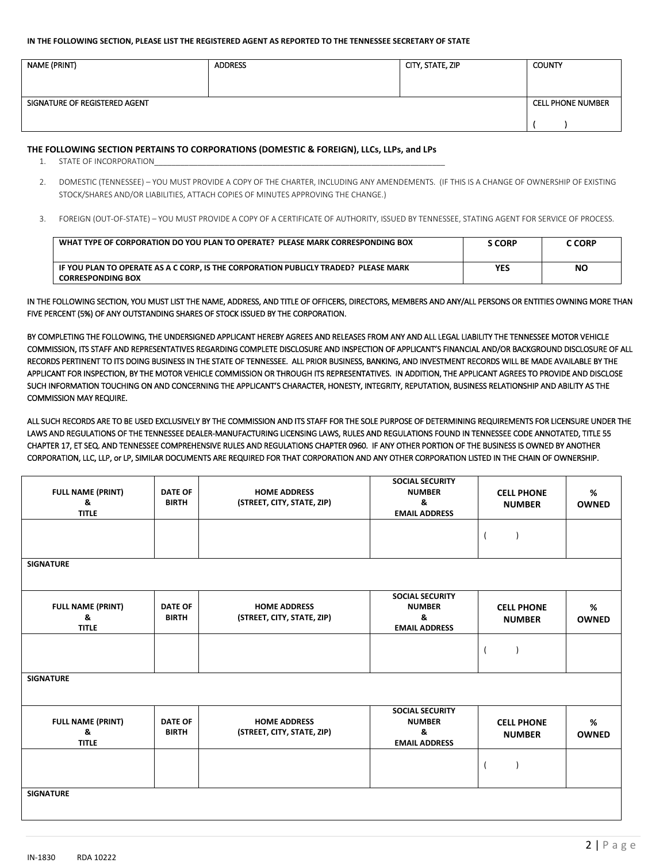#### **IN THE FOLLOWING SECTION, PLEASE LIST THE REGISTERED AGENT AS REPORTED TO THE TENNESSEE SECRETARY OF STATE**

| NAME (PRINT)                  | <b>ADDRESS</b> | CITY, STATE, ZIP | <b>COUNTY</b>            |
|-------------------------------|----------------|------------------|--------------------------|
| SIGNATURE OF REGISTERED AGENT |                |                  | <b>CELL PHONE NUMBER</b> |

#### **THE FOLLOWING SECTION PERTAINS TO CORPORATIONS (DOMESTIC & FOREIGN), LLCs, LLPs, and LPs**

- 1. STATE OF INCORPORATION
- 2. DOMESTIC (TENNESSEE) YOU MUST PROVIDE A COPY OF THE CHARTER, INCLUDING ANY AMENDEMENTS. (IF THIS IS A CHANGE OF OWNERSHIP OF EXISTING STOCK/SHARES AND/OR LIABILITIES, ATTACH COPIES OF MINUTES APPROVING THE CHANGE.)
- 3. FOREIGN (OUT-OF-STATE) YOU MUST PROVIDE A COPY OF A CERTIFICATE OF AUTHORITY, ISSUED BY TENNESSEE, STATING AGENT FOR SERVICE OF PROCESS.

| WHAT TYPE OF CORPORATION DO YOU PLAN TO OPERATE? PLEASE MARK CORRESPONDING BOX                                  | ፡ CORP     | C CORP |
|-----------------------------------------------------------------------------------------------------------------|------------|--------|
| IF YOU PLAN TO OPERATE AS A C CORP. IS THE CORPORATION PUBLICLY TRADED? PLEASE MARK<br><b>CORRESPONDING BOX</b> | <b>YES</b> | NΟ     |

IN THE FOLLOWING SECTION, YOU MUST LIST THE NAME, ADDRESS, AND TITLE OF OFFICERS, DIRECTORS, MEMBERS AND ANY/ALL PERSONS OR ENTITIES OWNING MORE THAN FIVE PERCENT (5%) OF ANY OUTSTANDING SHARES OF STOCK ISSUED BY THE CORPORATION.

BY COMPLETING THE FOLLOWING, THE UNDERSIGNED APPLICANT HEREBY AGREES AND RELEASES FROM ANY AND ALL LEGAL LIABILITY THE TENNESSEE MOTOR VEHICLE COMMISSION, ITS STAFF AND REPRESENTATIVES REGARDING COMPLETE DISCLOSURE AND INSPECTION OF APPLICANT'S FINANCIAL AND/OR BACKGROUND DISCLOSURE OF ALL RECORDS PERTINENT TO ITS DOING BUSINESS IN THE STATE OF TENNESSEE. ALL PRIOR BUSINESS, BANKING, AND INVESTMENT RECORDS WILL BE MADE AVAILABLE BY THE APPLICANT FOR INSPECTION, BY THE MOTOR VEHICLE COMMISSION OR THROUGH ITS REPRESENTATIVES. IN ADDITION, THE APPLICANT AGREES TO PROVIDE AND DISCLOSE SUCH INFORMATION TOUCHING ON AND CONCERNING THE APPLICANT'S CHARACTER, HONESTY, INTEGRITY, REPUTATION, BUSINESS RELATIONSHIP AND ABILITY AS THE COMMISSION MAY REQUIRE.

ALL SUCH RECORDS ARE TO BE USED EXCLUSIVELY BY THE COMMISSION AND ITS STAFF FOR THE SOLE PURPOSE OF DETERMINING REQUIREMENTS FOR LICENSURE UNDER THE LAWS AND REGULATIONS OF THE TENNESSEE DEALER-MANUFACTURING LICENSING LAWS, RULES AND REGULATIONS FOUND IN TENNESSEE CODE ANNOTATED, TITLE 55 CHAPTER 17, ET SEQ. AND TENNESSEE COMPREHENSIVE RULES AND REGULATIONS CHAPTER 0960. IF ANY OTHER PORTION OF THE BUSINESS IS OWNED BY ANOTHER CORPORATION, LLC, LLP, or LP, SIMILAR DOCUMENTS ARE REQUIRED FOR THAT CORPORATION AND ANY OTHER CORPORATION LISTED IN THE CHAIN OF OWNERSHIP.

| <b>FULL NAME (PRINT)</b><br>&<br><b>TITLE</b> | <b>DATE OF</b><br><b>BIRTH</b> | <b>HOME ADDRESS</b><br>(STREET, CITY, STATE, ZIP) | <b>SOCIAL SECURITY</b><br><b>NUMBER</b><br>&<br><b>EMAIL ADDRESS</b> | <b>CELL PHONE</b><br><b>NUMBER</b> | %<br><b>OWNED</b> |
|-----------------------------------------------|--------------------------------|---------------------------------------------------|----------------------------------------------------------------------|------------------------------------|-------------------|
|                                               |                                |                                                   |                                                                      |                                    |                   |
| <b>SIGNATURE</b>                              |                                |                                                   |                                                                      |                                    |                   |
| <b>FULL NAME (PRINT)</b><br>&<br><b>TITLE</b> | <b>DATE OF</b><br><b>BIRTH</b> | <b>HOME ADDRESS</b><br>(STREET, CITY, STATE, ZIP) | <b>SOCIAL SECURITY</b><br><b>NUMBER</b><br>&<br><b>EMAIL ADDRESS</b> | <b>CELL PHONE</b><br><b>NUMBER</b> | %<br><b>OWNED</b> |
|                                               |                                |                                                   |                                                                      |                                    |                   |
| <b>SIGNATURE</b>                              |                                |                                                   |                                                                      |                                    |                   |
| <b>FULL NAME (PRINT)</b><br>&<br><b>TITLE</b> | <b>DATE OF</b><br><b>BIRTH</b> | <b>HOME ADDRESS</b><br>(STREET, CITY, STATE, ZIP) | <b>SOCIAL SECURITY</b><br><b>NUMBER</b><br>&<br><b>EMAIL ADDRESS</b> | <b>CELL PHONE</b><br><b>NUMBER</b> | %<br><b>OWNED</b> |
|                                               |                                |                                                   |                                                                      |                                    |                   |
| <b>SIGNATURE</b>                              |                                |                                                   |                                                                      |                                    |                   |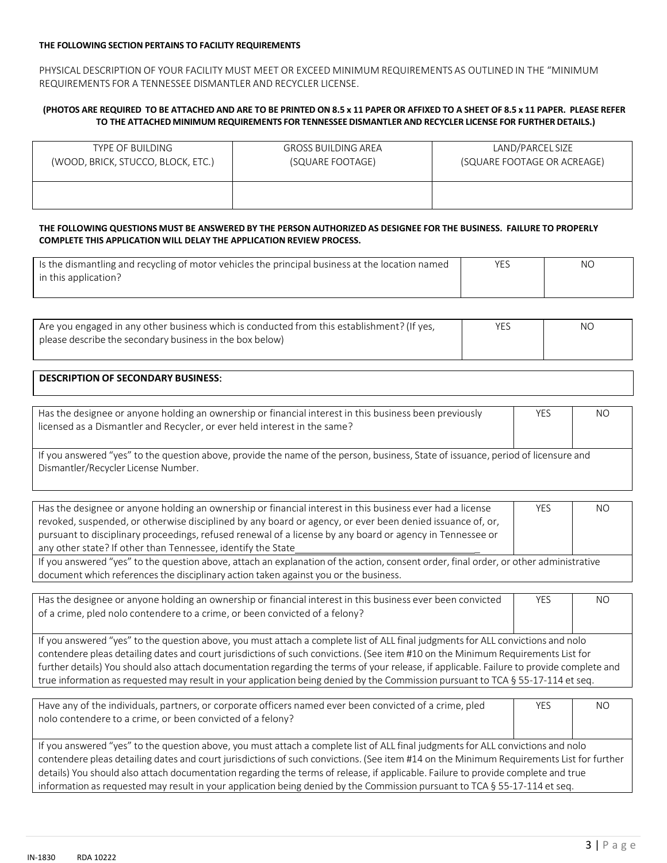#### **THE FOLLOWING SECTION PERTAINS TO FACILITY REQUIREMENTS**

PHYSICAL DESCRIPTION OF YOUR FACILITY MUST MEET OR EXCEED MINIMUM REQUIREMENTS AS OUTLINED IN THE "MINIMUM REQUIREMENTS FOR A TENNESSEE DISMANTLER AND RECYCLER LICENSE.

#### (PHOTOS ARE REQUIRED TO BE ATTACHED AND ARE TO BE PRINTED ON 8.5 x 11 PAPER OR AFFIXED TO A SHEET OF 8.5 x 11 PAPER. PLEASE REFER **TO THE ATTACHED MINIMUM REQUIREMENTS FOR TENNESSEE DISMANTLER AND RECYCLER LICENSE FOR FURTHER DETAILS.)**

| TYPE OF BUILDING                   | <b>GROSS BUILDING AREA</b> | LAND/PARCEL SIZE            |
|------------------------------------|----------------------------|-----------------------------|
| (WOOD, BRICK, STUCCO, BLOCK, ETC.) | (SQUARE FOOTAGE)           | (SQUARE FOOTAGE OR ACREAGE) |
|                                    |                            |                             |

#### THE FOLLOWING QUESTIONS MUST BE ANSWERED BY THE PERSON AUTHORIZED AS DESIGNEE FOR THE BUSINESS. FAILURE TO PROPERLY **COMPLETE THIS APPLICATION WILL DELAY THE APPLICATION REVIEW PROCESS.**

| Is the dismantling and recycling of motor vehicles the principal business at the location named | YES | <b>NO</b> |
|-------------------------------------------------------------------------------------------------|-----|-----------|
| in this application?                                                                            |     |           |
|                                                                                                 |     |           |

| Are you engaged in any other business which is conducted from this establishment? (If yes, | YES | ΝO |
|--------------------------------------------------------------------------------------------|-----|----|
| please describe the secondary business in the box below)                                   |     |    |
|                                                                                            |     |    |

## **DESCRIPTION OF SECONDARY BUSINESS**:

| Has the designee or anyone holding an ownership or financial interest in this business been previously                            | <b>YES</b> | NO |
|-----------------------------------------------------------------------------------------------------------------------------------|------------|----|
| licensed as a Dismantler and Recycler, or ever held interest in the same?                                                         |            |    |
|                                                                                                                                   |            |    |
| If you answered "yes" to the question above, provide the name of the person, business, State of issuance, period of licensure and |            |    |

If you answered "yes" to the question above, provide the name of the person, business, State of issuance, period of licensure and Dismantler/Recycler License Number.

| Has the designee or anyone holding an ownership or financial interest in this business ever had a license                             | <b>YES</b> | . NC |  |  |
|---------------------------------------------------------------------------------------------------------------------------------------|------------|------|--|--|
| revoked, suspended, or otherwise disciplined by any board or agency, or ever been denied issuance of, or,                             |            |      |  |  |
| pursuant to disciplinary proceedings, refused renewal of a license by any board or agency in Tennessee or                             |            |      |  |  |
| any other state? If other than Tennessee, identify the State                                                                          |            |      |  |  |
| If you answered "yes" to the question above, attach an explanation of the action, consent order, final order, or other administrative |            |      |  |  |
| document which references the disciplinary action taken against you or the business.                                                  |            |      |  |  |

Has the designee or anyone holding an ownership or financial interest in this business ever been convicted of a crime, pled nolo contendere to a crime, or been convicted of a felony? YES NO

If you answered "yes" to the question above, you must attach a complete list of ALL final judgments for ALL convictions and nolo contendere pleas detailing dates and court jurisdictions of such convictions. (See item #10 on the Minimum Requirements List for further details) You should also attach documentation regarding the terms of your release, if applicable. Failure to provide complete and true information as requested may result in your application being denied by the Commission pursuant to TCA § 55-17-114 et seq.

| Have any of the individuals, partners, or corporate officers named ever been convicted of a crime, pled                                  | YES. | <b>NO</b> |  |  |
|------------------------------------------------------------------------------------------------------------------------------------------|------|-----------|--|--|
| nolo contendere to a crime, or been convicted of a felony?                                                                               |      |           |  |  |
|                                                                                                                                          |      |           |  |  |
| If you answered "yes" to the question above, you must attach a complete list of ALL final judgments for ALL convictions and nolo         |      |           |  |  |
| contendere pleas detailing dates and court jurisdictions of such convictions. (See item #14 on the Minimum Requirements List for further |      |           |  |  |
| details) You should also attach documentation regarding the terms of release, if applicable. Failure to provide complete and true        |      |           |  |  |
| information as requested may result in your application being denied by the Commission pursuant to TCA $\S$ 55-17-114 et seq.            |      |           |  |  |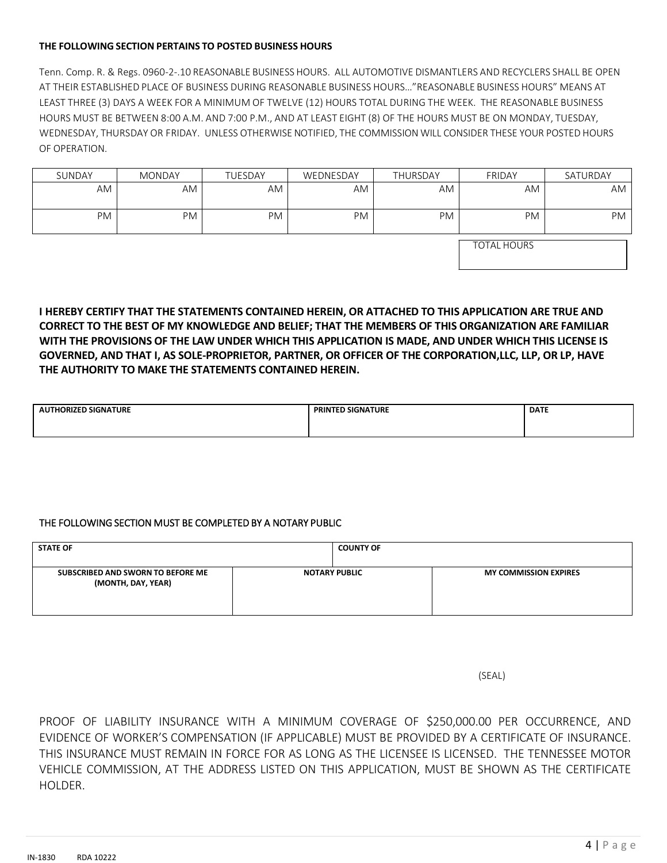### **THE FOLLOWING SECTION PERTAINS TO POSTED BUSINESS HOURS**

Tenn. Comp. R. & Regs. 0960-2-.10 REASONABLE BUSINESS HOURS. ALL AUTOMOTIVE DISMANTLERS AND RECYCLERS SHALL BE OPEN AT THEIR ESTABLISHED PLACE OF BUSINESS DURING REASONABLE BUSINESS HOURS…"REASONABLE BUSINESS HOURS" MEANS AT LEAST THREE (3) DAYS A WEEK FOR A MINIMUM OF TWELVE (12) HOURS TOTAL DURING THE WEEK. THE REASONABLE BUSINESS HOURS MUST BE BETWEEN 8:00 A.M. AND 7:00 P.M., AND AT LEAST EIGHT (8) OF THE HOURS MUST BE ON MONDAY, TUESDAY, WEDNESDAY, THURSDAY OR FRIDAY. UNLESS OTHERWISE NOTIFIED, THE COMMISSION WILL CONSIDER THESE YOUR POSTED HOURS OF OPERATION.

| SUNDAY    | <b>MONDAY</b> | TUESDAY | WEDNESDAY | <b>THURSDAY</b> | <b>FRIDAY</b> | SATURDAY |
|-----------|---------------|---------|-----------|-----------------|---------------|----------|
| AM        | AM            | AM      | AM        | AM              | AM            | AM       |
| <b>PM</b> | <b>PM</b>     | PM      | PM        | <b>PM</b>       | <b>PM</b>     | PM       |

TOTAL HOURS

**I HEREBY CERTIFY THAT THE STATEMENTS CONTAINED HEREIN, OR ATTACHED TO THIS APPLICATION ARE TRUE AND CORRECT TO THE BEST OF MY KNOWLEDGE AND BELIEF; THAT THE MEMBERS OF THIS ORGANIZATION ARE FAMILIAR WITH THE PROVISIONS OF THE LAW UNDER WHICH THIS APPLICATION IS MADE, AND UNDER WHICH THIS LICENSE IS GOVERNED, AND THAT I, AS SOLE-PROPRIETOR, PARTNER, OR OFFICER OF THE CORPORATION,LLC, LLP, OR LP, HAVE THE AUTHORITY TO MAKE THE STATEMENTS CONTAINED HEREIN.**

| <b>THORIZED SIGNATURE</b><br>ΑU | <b>PRINTED SIGNATURE</b> | <b>DATE</b> |
|---------------------------------|--------------------------|-------------|
|                                 |                          |             |

## THE FOLLOWING SECTION MUST BE COMPLETED BY A NOTARY PUBLIC

| <b>STATE OF</b>                                         | <b>COUNTY OF</b>     |                              |
|---------------------------------------------------------|----------------------|------------------------------|
| SUBSCRIBED AND SWORN TO BEFORE ME<br>(MONTH, DAY, YEAR) | <b>NOTARY PUBLIC</b> | <b>MY COMMISSION EXPIRES</b> |

(SEAL)

PROOF OF LIABILITY INSURANCE WITH A MINIMUM COVERAGE OF \$250,000.00 PER OCCURRENCE, AND EVIDENCE OF WORKER'S COMPENSATION (IF APPLICABLE) MUST BE PROVIDED BY A CERTIFICATE OF INSURANCE. THIS INSURANCE MUST REMAIN IN FORCE FOR AS LONG AS THE LICENSEE IS LICENSED. THE TENNESSEE MOTOR VEHICLE COMMISSION, AT THE ADDRESS LISTED ON THIS APPLICATION, MUST BE SHOWN AS THE CERTIFICATE HOLDER.